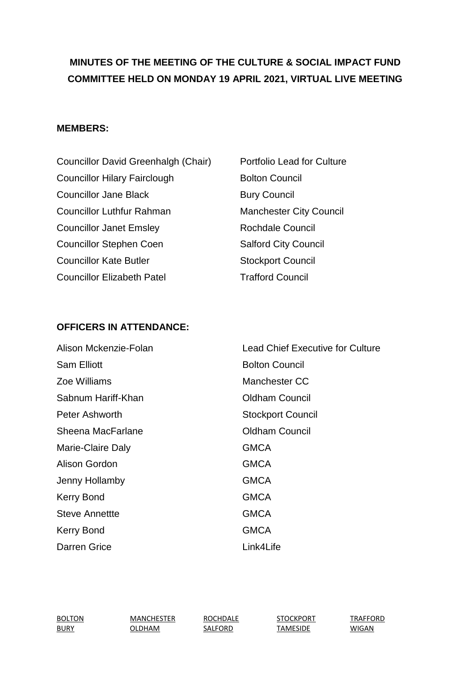# **MINUTES OF THE MEETING OF THE CULTURE & SOCIAL IMPACT FUND COMMITTEE HELD ON MONDAY 19 APRIL 2021, VIRTUAL LIVE MEETING**

#### **MEMBERS:**

| Councillor David Greenhalgh (Chair) | Portfolio Lead for C        |
|-------------------------------------|-----------------------------|
| <b>Councillor Hilary Fairclough</b> | <b>Bolton Council</b>       |
| <b>Councillor Jane Black</b>        | <b>Bury Council</b>         |
| <b>Councillor Luthfur Rahman</b>    | <b>Manchester City Co</b>   |
| <b>Councillor Janet Emsley</b>      | <b>Rochdale Council</b>     |
| <b>Councillor Stephen Coen</b>      | <b>Salford City Council</b> |
| <b>Councillor Kate Butler</b>       | <b>Stockport Council</b>    |
| <b>Councillor Elizabeth Patel</b>   | <b>Trafford Council</b>     |

# d for Culture City Council

## **OFFICERS IN ATTENDANCE:**

| Alison Mckenzie-Folan | <b>Lead Chief Executive for Culture</b> |
|-----------------------|-----------------------------------------|
| <b>Sam Elliott</b>    | <b>Bolton Council</b>                   |
| Zoe Williams          | Manchester CC                           |
| Sabnum Hariff-Khan    | <b>Oldham Council</b>                   |
| Peter Ashworth        | <b>Stockport Council</b>                |
| Sheena MacFarlane     | <b>Oldham Council</b>                   |
| Marie-Claire Daly     | <b>GMCA</b>                             |
| Alison Gordon         | <b>GMCA</b>                             |
| Jenny Hollamby        | <b>GMCA</b>                             |
| <b>Kerry Bond</b>     | <b>GMCA</b>                             |
| Steve Annettte        | <b>GMCA</b>                             |
| <b>Kerry Bond</b>     | <b>GMCA</b>                             |
| Darren Grice          | Link4Life                               |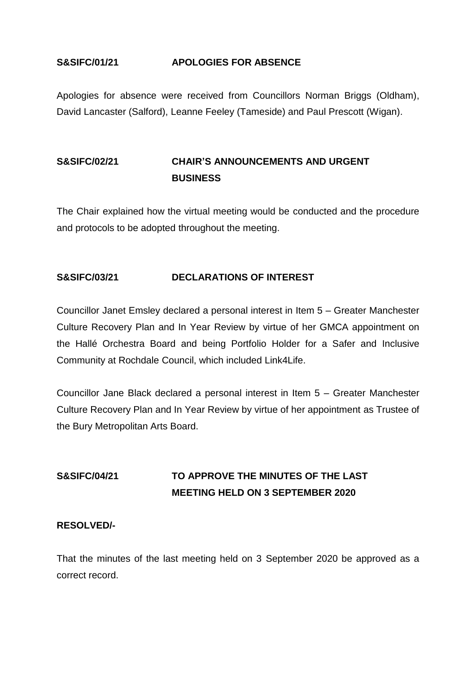#### **S&SIFC/01/21 APOLOGIES FOR ABSENCE**

Apologies for absence were received from Councillors Norman Briggs (Oldham), David Lancaster (Salford), Leanne Feeley (Tameside) and Paul Prescott (Wigan).

## **S&SIFC/02/21 CHAIR'S ANNOUNCEMENTS AND URGENT BUSINESS**

The Chair explained how the virtual meeting would be conducted and the procedure and protocols to be adopted throughout the meeting.

#### **S&SIFC/03/21 DECLARATIONS OF INTEREST**

Councillor Janet Emsley declared a personal interest in Item 5 – Greater Manchester Culture Recovery Plan and In Year Review by virtue of her GMCA appointment on the Hallé Orchestra Board and being Portfolio Holder for a Safer and Inclusive Community at Rochdale Council, which included Link4Life.

Councillor Jane Black declared a personal interest in Item 5 – Greater Manchester Culture Recovery Plan and In Year Review by virtue of her appointment as Trustee of the Bury Metropolitan Arts Board.

# **S&SIFC/04/21 TO APPROVE THE MINUTES OF THE LAST MEETING HELD ON 3 SEPTEMBER 2020**

#### **RESOLVED/-**

That the minutes of the last meeting held on 3 September 2020 be approved as a correct record.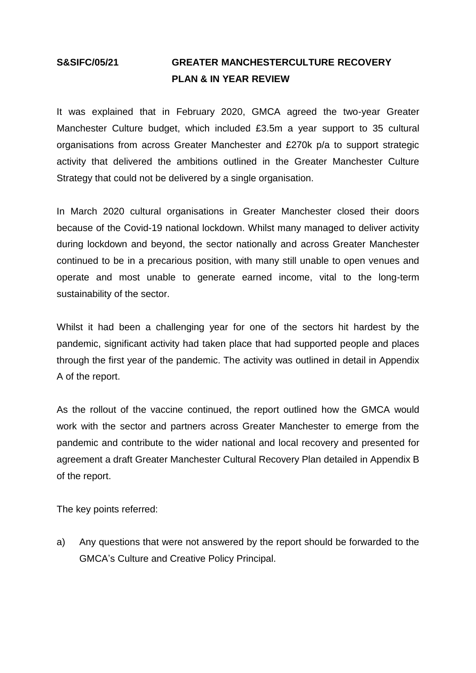## **S&SIFC/05/21 GREATER MANCHESTERCULTURE RECOVERY PLAN & IN YEAR REVIEW**

It was explained that in February 2020, GMCA agreed the two-year Greater Manchester Culture budget, which included £3.5m a year support to 35 cultural organisations from across Greater Manchester and £270k p/a to support strategic activity that delivered the ambitions outlined in the Greater Manchester Culture Strategy that could not be delivered by a single organisation.

In March 2020 cultural organisations in Greater Manchester closed their doors because of the Covid-19 national lockdown. Whilst many managed to deliver activity during lockdown and beyond, the sector nationally and across Greater Manchester continued to be in a precarious position, with many still unable to open venues and operate and most unable to generate earned income, vital to the long-term sustainability of the sector.

Whilst it had been a challenging year for one of the sectors hit hardest by the pandemic, significant activity had taken place that had supported people and places through the first year of the pandemic. The activity was outlined in detail in Appendix A of the report.

As the rollout of the vaccine continued, the report outlined how the GMCA would work with the sector and partners across Greater Manchester to emerge from the pandemic and contribute to the wider national and local recovery and presented for agreement a draft Greater Manchester Cultural Recovery Plan detailed in Appendix B of the report.

The key points referred:

a) Any questions that were not answered by the report should be forwarded to the GMCA's Culture and Creative Policy Principal.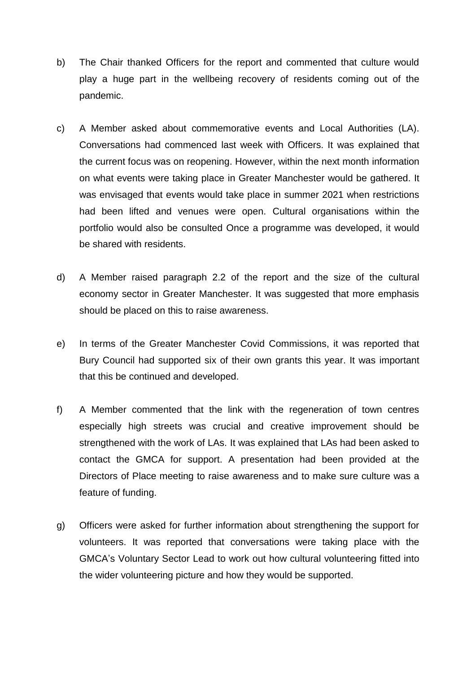- b) The Chair thanked Officers for the report and commented that culture would play a huge part in the wellbeing recovery of residents coming out of the pandemic.
- c) A Member asked about commemorative events and Local Authorities (LA). Conversations had commenced last week with Officers. It was explained that the current focus was on reopening. However, within the next month information on what events were taking place in Greater Manchester would be gathered. It was envisaged that events would take place in summer 2021 when restrictions had been lifted and venues were open. Cultural organisations within the portfolio would also be consulted Once a programme was developed, it would be shared with residents.
- d) A Member raised paragraph 2.2 of the report and the size of the cultural economy sector in Greater Manchester. It was suggested that more emphasis should be placed on this to raise awareness.
- e) In terms of the Greater Manchester Covid Commissions, it was reported that Bury Council had supported six of their own grants this year. It was important that this be continued and developed.
- f) A Member commented that the link with the regeneration of town centres especially high streets was crucial and creative improvement should be strengthened with the work of LAs. It was explained that LAs had been asked to contact the GMCA for support. A presentation had been provided at the Directors of Place meeting to raise awareness and to make sure culture was a feature of funding.
- g) Officers were asked for further information about strengthening the support for volunteers. It was reported that conversations were taking place with the GMCA's Voluntary Sector Lead to work out how cultural volunteering fitted into the wider volunteering picture and how they would be supported.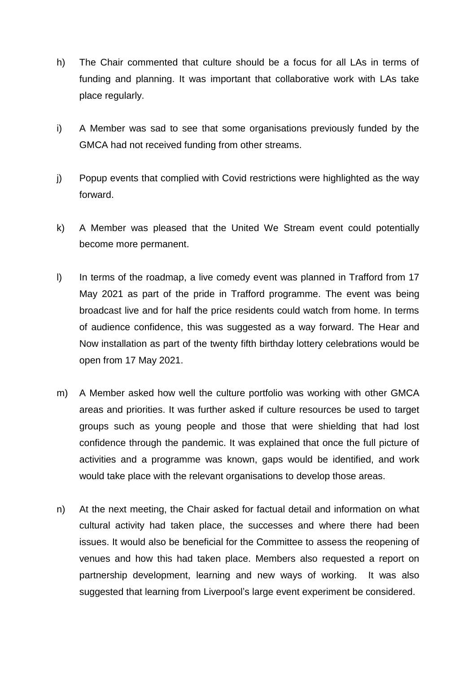- h) The Chair commented that culture should be a focus for all LAs in terms of funding and planning. It was important that collaborative work with LAs take place regularly.
- i) A Member was sad to see that some organisations previously funded by the GMCA had not received funding from other streams.
- j) Popup events that complied with Covid restrictions were highlighted as the way forward.
- k) A Member was pleased that the United We Stream event could potentially become more permanent.
- l) In terms of the roadmap, a live comedy event was planned in Trafford from 17 May 2021 as part of the pride in Trafford programme. The event was being broadcast live and for half the price residents could watch from home. In terms of audience confidence, this was suggested as a way forward. The Hear and Now installation as part of the twenty fifth birthday lottery celebrations would be open from 17 May 2021.
- m) A Member asked how well the culture portfolio was working with other GMCA areas and priorities. It was further asked if culture resources be used to target groups such as young people and those that were shielding that had lost confidence through the pandemic. It was explained that once the full picture of activities and a programme was known, gaps would be identified, and work would take place with the relevant organisations to develop those areas.
- n) At the next meeting, the Chair asked for factual detail and information on what cultural activity had taken place, the successes and where there had been issues. It would also be beneficial for the Committee to assess the reopening of venues and how this had taken place. Members also requested a report on partnership development, learning and new ways of working. It was also suggested that learning from Liverpool's large event experiment be considered.